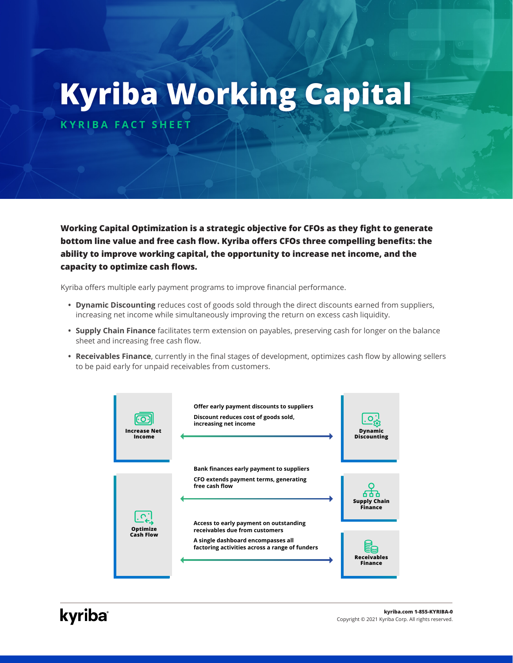# **Kyriba Working Capital**

**KYRIBA FACT SHEET**

**Working Capital Optimization is a strategic objective for CFOs as they fight to generate bottom line value and free cash flow. Kyriba offers CFOs three compelling benefits: the ability to improve working capital, the opportunity to increase net income, and the capacity to optimize cash flows.**

Kyriba offers multiple early payment programs to improve financial performance.

- **• Dynamic Discounting** reduces cost of goods sold through the direct discounts earned from suppliers, increasing net income while simultaneously improving the return on excess cash liquidity.
- **• Supply Chain Finance** facilitates term extension on payables, preserving cash for longer on the balance sheet and increasing free cash flow.
- **• Receivables Finance**, currently in the final stages of development, optimizes cash flow by allowing sellers to be paid early for unpaid receivables from customers.

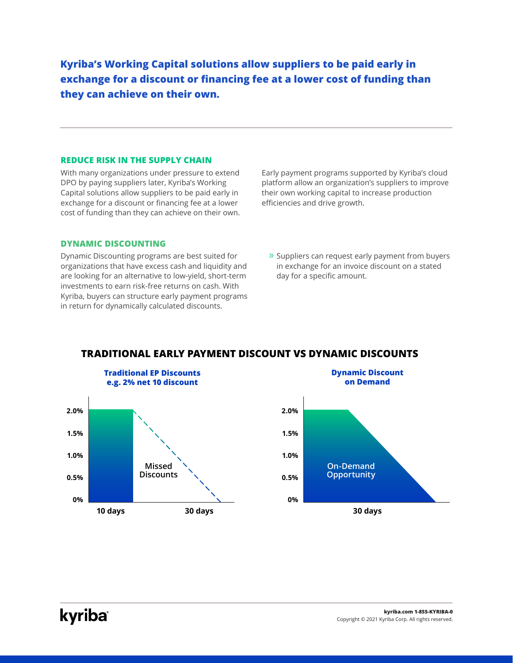**Kyriba's Working Capital solutions allow suppliers to be paid early in exchange for a discount or financing fee at a lower cost of funding than they can achieve on their own.** 

#### **REDUCE RISK IN THE SUPPLY CHAIN**

With many organizations under pressure to extend DPO by paying suppliers later, Kyriba's Working Capital solutions allow suppliers to be paid early in exchange for a discount or financing fee at a lower cost of funding than they can achieve on their own.

#### **DYNAMIC DISCOUNTING**

Dynamic Discounting programs are best suited for organizations that have excess cash and liquidity and are looking for an alternative to low-yield, short-term investments to earn risk-free returns on cash. With Kyriba, buyers can structure early payment programs in return for dynamically calculated discounts.

Early payment programs supported by Kyriba's cloud platform allow an organization's suppliers to improve their own working capital to increase production efficiencies and drive growth.

» Suppliers can request early payment from buyers in exchange for an invoice discount on a stated day for a specific amount.



# **TRADITIONAL EARLY PAYMENT DISCOUNT VS DYNAMIC DISCOUNTS**

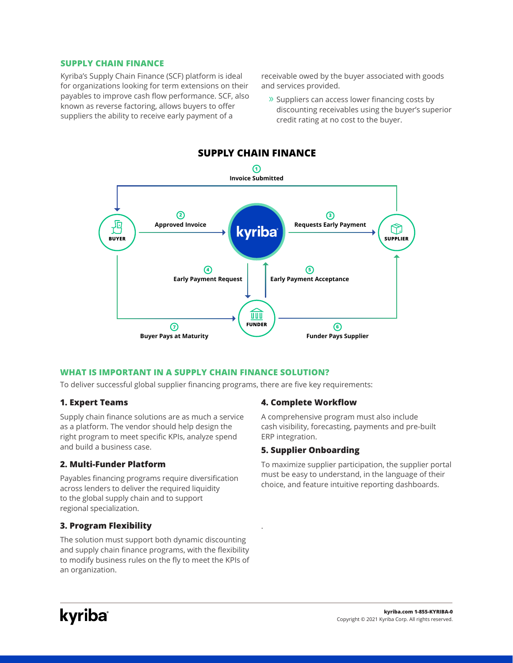#### **SUPPLY CHAIN FINANCE**

Kyriba's Supply Chain Finance (SCF) platform is ideal for organizations looking for term extensions on their payables to improve cash flow performance. SCF, also known as reverse factoring, allows buyers to offer suppliers the ability to receive early payment of a

receivable owed by the buyer associated with goods and services provided.

» Suppliers can access lower financing costs by discounting receivables using the buyer's superior credit rating at no cost to the buyer.



.

# **WHAT IS IMPORTANT IN A SUPPLY CHAIN FINANCE SOLUTION?**

To deliver successful global supplier financing programs, there are five key requirements:

# **1. Expert Teams**

Supply chain finance solutions are as much a service as a platform. The vendor should help design the right program to meet specific KPIs, analyze spend and build a business case.

# **2. Multi-Funder Platform**

Payables financing programs require diversification across lenders to deliver the required liquidity to the global supply chain and to support regional specialization.

# **3. Program Flexibility**

The solution must support both dynamic discounting and supply chain finance programs, with the flexibility to modify business rules on the fly to meet the KPIs of an organization.

# **4. Complete Workflow**

A comprehensive program must also include cash visibility, forecasting, payments and pre-built ERP integration.

# **5. Supplier Onboarding**

To maximize supplier participation, the supplier portal must be easy to understand, in the language of their choice, and feature intuitive reporting dashboards.